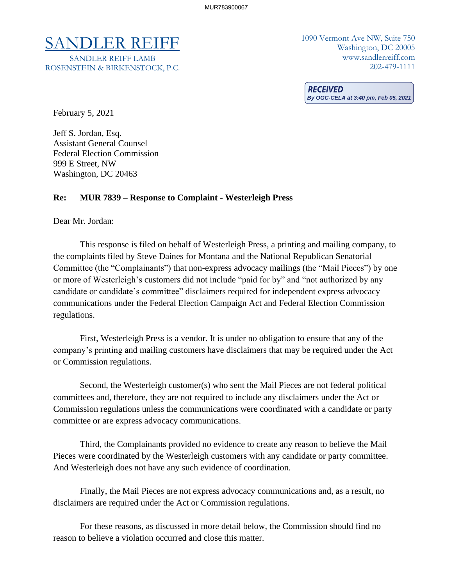# SANDLER REIFF 1090 Vermont Ave NW, Suite 750

SANDLER REIFF LAMB ROSENSTEIN & BIRKENSTOCK, P.C. Washington, DC 20005 www.sandlerreiff.com 202-479-1111

**RECEIVED By OGC-CELA at 3:40 pm, Feb 05, 2021**

February 5, 2021

Jeff S. Jordan, Esq. Assistant General Counsel Federal Election Commission 999 E Street, NW Washington, DC 20463

#### **Re: MUR 7839 – Response to Complaint - Westerleigh Press**

Dear Mr. Jordan:

This response is filed on behalf of Westerleigh Press, a printing and mailing company, to the complaints filed by Steve Daines for Montana and the National Republican Senatorial Committee (the "Complainants") that non-express advocacy mailings (the "Mail Pieces") by one or more of Westerleigh's customers did not include "paid for by" and "not authorized by any candidate or candidate's committee" disclaimers required for independent express advocacy communications under the Federal Election Campaign Act and Federal Election Commission regulations.

First, Westerleigh Press is a vendor. It is under no obligation to ensure that any of the company's printing and mailing customers have disclaimers that may be required under the Act or Commission regulations.

Second, the Westerleigh customer(s) who sent the Mail Pieces are not federal political committees and, therefore, they are not required to include any disclaimers under the Act or Commission regulations unless the communications were coordinated with a candidate or party committee or are express advocacy communications.

Third, the Complainants provided no evidence to create any reason to believe the Mail Pieces were coordinated by the Westerleigh customers with any candidate or party committee. And Westerleigh does not have any such evidence of coordination.

Finally, the Mail Pieces are not express advocacy communications and, as a result, no disclaimers are required under the Act or Commission regulations.

For these reasons, as discussed in more detail below, the Commission should find no reason to believe a violation occurred and close this matter.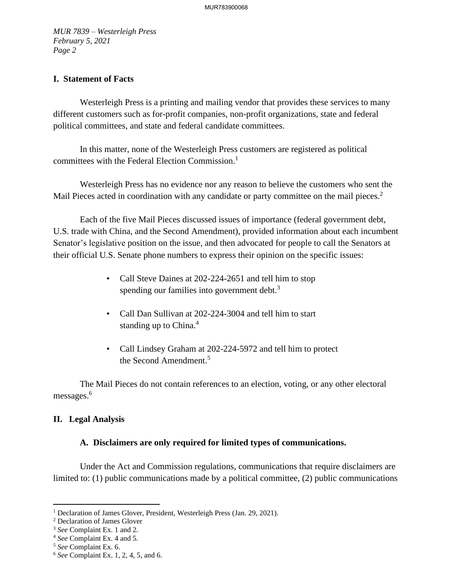## **I. Statement of Facts**

Westerleigh Press is a printing and mailing vendor that provides these services to many different customers such as for-profit companies, non-profit organizations, state and federal political committees, and state and federal candidate committees.

In this matter, none of the Westerleigh Press customers are registered as political committees with the Federal Election Commission. 1

Westerleigh Press has no evidence nor any reason to believe the customers who sent the Mail Pieces acted in coordination with any candidate or party committee on the mail pieces.<sup>2</sup>

Each of the five Mail Pieces discussed issues of importance (federal government debt, U.S. trade with China, and the Second Amendment), provided information about each incumbent Senator's legislative position on the issue, and then advocated for people to call the Senators at their official U.S. Senate phone numbers to express their opinion on the specific issues:

- Call Steve Daines at 202-224-2651 and tell him to stop spending our families into government debt.<sup>3</sup>
- Call Dan Sullivan at 202-224-3004 and tell him to start standing up to China.<sup>4</sup>
- Call Lindsey Graham at 202-224-5972 and tell him to protect the Second Amendment.<sup>5</sup>

The Mail Pieces do not contain references to an election, voting, or any other electoral messages.<sup>6</sup>

## **II. Legal Analysis**

## **A. Disclaimers are only required for limited types of communications.**

Under the Act and Commission regulations, communications that require disclaimers are limited to: (1) public communications made by a political committee, (2) public communications

<sup>&</sup>lt;sup>1</sup> Declaration of James Glover, President, Westerleigh Press (Jan. 29, 2021).

<sup>2</sup> Declaration of James Glover

<sup>3</sup> *See* Complaint Ex. 1 and 2.

<sup>4</sup> *See* Complaint Ex. 4 and 5.

<sup>5</sup> *See* Complaint Ex. 6.

<sup>6</sup> *See* Complaint Ex. 1, 2, 4, 5, and 6.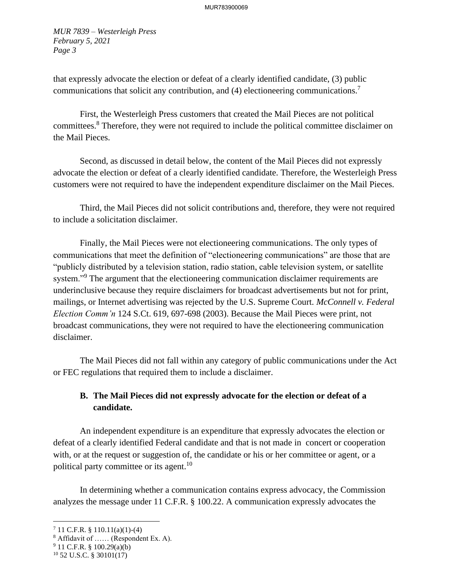that expressly advocate the election or defeat of a clearly identified candidate, (3) public communications that solicit any contribution, and (4) electioneering communications.<sup>7</sup>

First, the Westerleigh Press customers that created the Mail Pieces are not political committees.<sup>8</sup> Therefore, they were not required to include the political committee disclaimer on the Mail Pieces.

Second, as discussed in detail below, the content of the Mail Pieces did not expressly advocate the election or defeat of a clearly identified candidate. Therefore, the Westerleigh Press customers were not required to have the independent expenditure disclaimer on the Mail Pieces.

Third, the Mail Pieces did not solicit contributions and, therefore, they were not required to include a solicitation disclaimer.

Finally, the Mail Pieces were not electioneering communications. The only types of communications that meet the definition of "electioneering communications" are those that are "publicly distributed by a television station, radio station, cable television system, or satellite system."<sup>9</sup> The argument that the electioneering communication disclaimer requirements are underinclusive because they require disclaimers for broadcast advertisements but not for print, mailings, or Internet advertising was rejected by the U.S. Supreme Court. *McConnell v. Federal Election Comm'n* 124 S.Ct. 619, 697-698 (2003). Because the Mail Pieces were print, not broadcast communications, they were not required to have the electioneering communication disclaimer.

The Mail Pieces did not fall within any category of public communications under the Act or FEC regulations that required them to include a disclaimer.

# **B. The Mail Pieces did not expressly advocate for the election or defeat of a candidate.**

An independent expenditure is an expenditure that expressly advocates the election or defeat of a clearly identified Federal candidate and that is not made in concert or cooperation with, or at the request or suggestion of, the candidate or his or her committee or agent, or a political party committee or its agent.<sup>10</sup>

In determining whether a communication contains express advocacy, the Commission analyzes the message under 11 C.F.R. § 100.22. A communication expressly advocates the

 $7$  11 C.F.R. § 110.11(a)(1)-(4)

 $8$  Affidavit of ...... (Respondent Ex. A).

 $9$  11 C.F.R. § 100.29(a)(b)

 $10$  52 U.S.C. § 30101(17)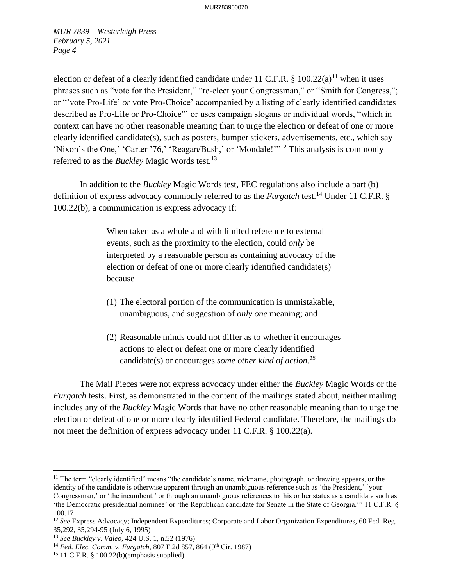election or defeat of a clearly identified candidate under 11 C.F.R. § 100.22(a)<sup>11</sup> when it uses phrases such as "vote for the President," "re-elect your Congressman," or "Smith for Congress,"; or "'vote Pro-Life' *or* vote Pro-Choice' accompanied by a listing of clearly identified candidates described as Pro-Life or Pro-Choice"' or uses campaign slogans or individual words, "which in context can have no other reasonable meaning than to urge the election or defeat of one or more clearly identified candidate(s), such as posters, bumper stickers, advertisements, etc., which say 'Nixon's the One,' 'Carter '76,' 'Reagan/Bush,' or 'Mondale!'"<sup>12</sup> This analysis is commonly referred to as the *Buckley* Magic Words test.<sup>13</sup>

In addition to the *Buckley* Magic Words test, FEC regulations also include a part (b) definition of express advocacy commonly referred to as the *Furgatch* test. <sup>14</sup> Under 11 C.F.R. § 100.22(b), a communication is express advocacy if:

> When taken as a whole and with limited reference to external events, such as the proximity to the election, could *only* be interpreted by a reasonable person as containing advocacy of the election or defeat of one or more clearly identified candidate(s) because –

- (1) The electoral portion of the communication is unmistakable, unambiguous, and suggestion of *only one* meaning; and
- (2) Reasonable minds could not differ as to whether it encourages actions to elect or defeat one or more clearly identified candidate(s) or encourages *some other kind of action.<sup>15</sup>*

The Mail Pieces were not express advocacy under either the *Buckley* Magic Words or the *Furgatch* tests. First, as demonstrated in the content of the mailings stated about, neither mailing includes any of the *Buckley* Magic Words that have no other reasonable meaning than to urge the election or defeat of one or more clearly identified Federal candidate. Therefore, the mailings do not meet the definition of express advocacy under 11 C.F.R. § 100.22(a).

<sup>&</sup>lt;sup>11</sup> The term "clearly identified" means "the candidate's name, nickname, photograph, or drawing appears, or the identity of the candidate is otherwise apparent through an unambiguous reference such as 'the President,' 'your Congressman,' or 'the incumbent,' or through an unambiguous references to his or her status as a candidate such as 'the Democratic presidential nominee' or 'the Republican candidate for Senate in the State of Georgia.'" 11 C.F.R. § 100.17

<sup>&</sup>lt;sup>12</sup> *See* Express Advocacy; Independent Expenditures; Corporate and Labor Organization Expenditures, 60 Fed. Reg. 35,292, 35,294-95 (July 6, 1995)

<sup>13</sup> *See Buckley v. Valeo,* 424 U.S. 1, n.52 (1976)

<sup>&</sup>lt;sup>14</sup> Fed. Elec. Comm. v. Furgatch, 807 F.2d 857, 864 (9<sup>th</sup> Cir. 1987)

<sup>&</sup>lt;sup>15</sup> 11 C.F.R. § 100.22(b)(emphasis supplied)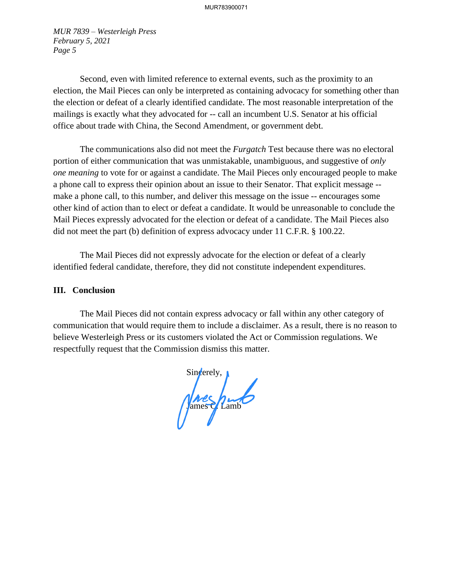Second, even with limited reference to external events, such as the proximity to an election, the Mail Pieces can only be interpreted as containing advocacy for something other than the election or defeat of a clearly identified candidate. The most reasonable interpretation of the mailings is exactly what they advocated for -- call an incumbent U.S. Senator at his official office about trade with China, the Second Amendment, or government debt.

The communications also did not meet the *Furgatch* Test because there was no electoral portion of either communication that was unmistakable, unambiguous, and suggestive of *only one meaning* to vote for or against a candidate. The Mail Pieces only encouraged people to make a phone call to express their opinion about an issue to their Senator. That explicit message - make a phone call, to this number, and deliver this message on the issue -- encourages some other kind of action than to elect or defeat a candidate. It would be unreasonable to conclude the Mail Pieces expressly advocated for the election or defeat of a candidate. The Mail Pieces also did not meet the part (b) definition of express advocacy under 11 C.F.R. § 100.22.

The Mail Pieces did not expressly advocate for the election or defeat of a clearly identified federal candidate, therefore, they did not constitute independent expenditures.

## **III. Conclusion**

The Mail Pieces did not contain express advocacy or fall within any other category of communication that would require them to include a disclaimer. As a result, there is no reason to believe Westerleigh Press or its customers violated the Act or Commission regulations. We respectfully request that the Commission dismiss this matter.

Sincerely, Jnes hunt